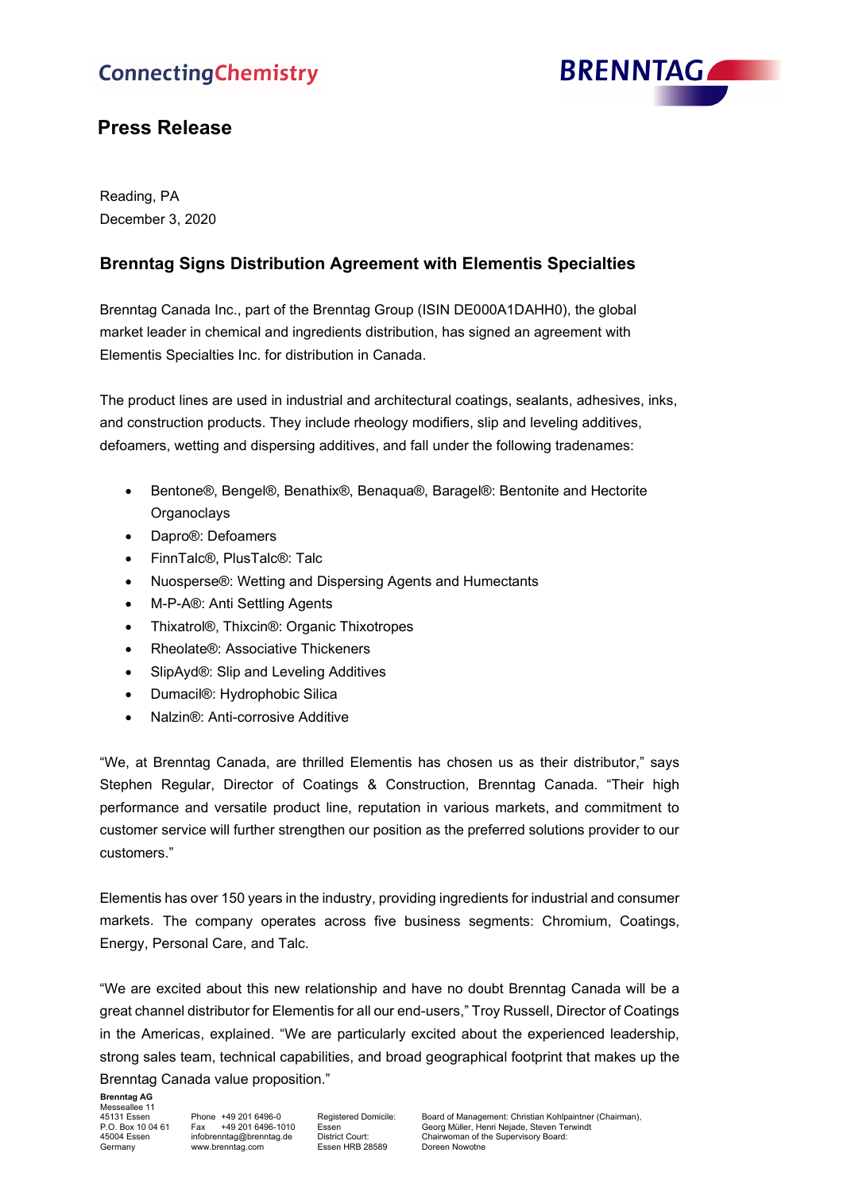# **ConnectingChemistry**



## **Press Release**

Reading, PA December 3, 2020

### **Brenntag Signs Distribution Agreement with Elementis Specialties**

Brenntag Canada Inc., part of the Brenntag Group (ISIN DE000A1DAHH0), the global market leader in chemical and ingredients distribution, has signed an agreement with Elementis Specialties Inc. for distribution in Canada.

The product lines are used in industrial and architectural coatings, sealants, adhesives, inks, and construction products. They include rheology modifiers, slip and leveling additives, defoamers, wetting and dispersing additives, and fall under the following tradenames:

- Bentone®, Bengel®, Benathix®, Benaqua®, Baragel®: Bentonite and Hectorite **Organoclays**
- Dapro®: Defoamers
- FinnTalc®, PlusTalc®: Talc
- Nuosperse®: Wetting and Dispersing Agents and Humectants
- M-P-A®: Anti Settling Agents
- Thixatrol®, Thixcin®: Organic Thixotropes
- Rheolate®: Associative Thickeners
- SlipAyd®: Slip and Leveling Additives
- Dumacil®: Hydrophobic Silica
- Nalzin®: Anti-corrosive Additive

"We, at Brenntag Canada, are thrilled Elementis has chosen us as their distributor," says Stephen Regular, Director of Coatings & Construction, Brenntag Canada. "Their high performance and versatile product line, reputation in various markets, and commitment to customer service will further strengthen our position as the preferred solutions provider to our customers."

Elementis has over 150 years in the industry, providing ingredients for industrial and consumer markets. The company operates across five business segments: Chromium, Coatings, Energy, Personal Care, and Talc.

"We are excited about this new relationship and have no doubt Brenntag Canada will be a great channel distributor for Elementis for all our end-users," Troy Russell, Director of Coatings in the Americas, explained. "We are particularly excited about the experienced leadership, strong sales team, technical capabilities, and broad geographical footprint that makes up the Brenntag Canada value proposition."

**Brenntag AG**

45131 Essen

45131 Essen Phone +49 201 6496-0 Registered Domicile: Board of Management: Christian Kohlpaintner (Chairman), P.O. Box 10 04 61 Fax +49 201 6496-1010 Essen Georg Müller, Henri Nejade, Steven Terwindt<br>45004 Essen infobrenntag@brenntag.de District Court: Chairwoman of the Supervisory Board:<br>Germany ww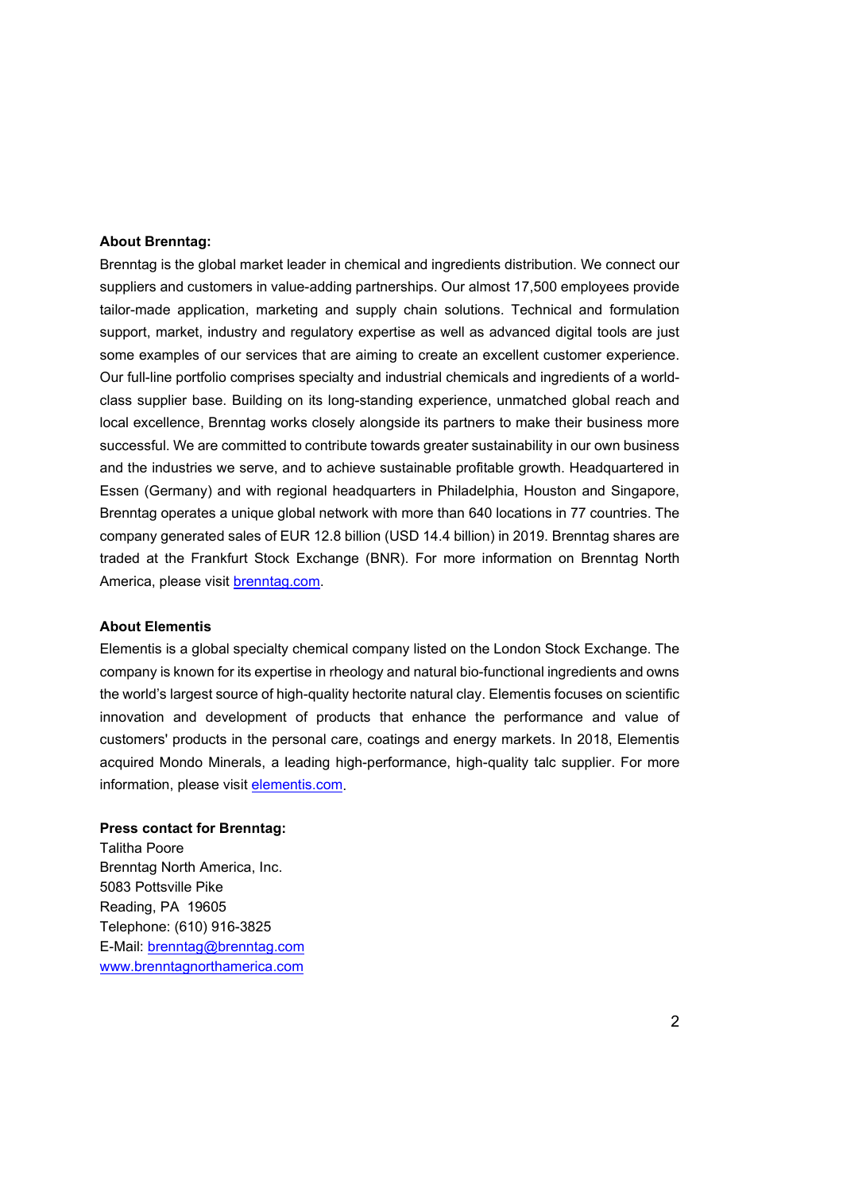#### **About Brenntag:**

Brenntag is the global market leader in chemical and ingredients distribution. We connect our suppliers and customers in value-adding partnerships. Our almost 17,500 employees provide tailor-made application, marketing and supply chain solutions. Technical and formulation support, market, industry and regulatory expertise as well as advanced digital tools are just some examples of our services that are aiming to create an excellent customer experience. Our full-line portfolio comprises specialty and industrial chemicals and ingredients of a worldclass supplier base. Building on its long-standing experience, unmatched global reach and local excellence, Brenntag works closely alongside its partners to make their business more successful. We are committed to contribute towards greater sustainability in our own business and the industries we serve, and to achieve sustainable profitable growth. Headquartered in Essen (Germany) and with regional headquarters in Philadelphia, Houston and Singapore, Brenntag operates a unique global network with more than 640 locations in 77 countries. The company generated sales of EUR 12.8 billion (USD 14.4 billion) in 2019. Brenntag shares are traded at the Frankfurt Stock Exchange (BNR). For more information on Brenntag North America, please visit [brenntag.com.](http://www.brenntag.com/)

#### **About Elementis**

Elementis is a global specialty chemical company listed on the London Stock Exchange. The company is known for its expertise in rheology and natural bio-functional ingredients and owns the world's largest source of high-quality hectorite natural clay. Elementis focuses on scientific innovation and development of products that enhance the performance and value of customers' products in the personal care, coatings and energy markets. In 2018, Elementis acquired Mondo Minerals, a leading high-performance, high-quality talc supplier. For more information, please visit [elementis.com.](http://www.elementis.com/)

#### **Press contact for Brenntag:**

Talitha Poore Brenntag North America, Inc. 5083 Pottsville Pike Reading, PA 19605 Telephone: (610) 916-3825 E-Mail: [brenntag@brenntag.com](mailto:brenntag@brenntag.com) [www.brenntagnorthamerica.com](http://www.brenntagnorthamerica.com/)